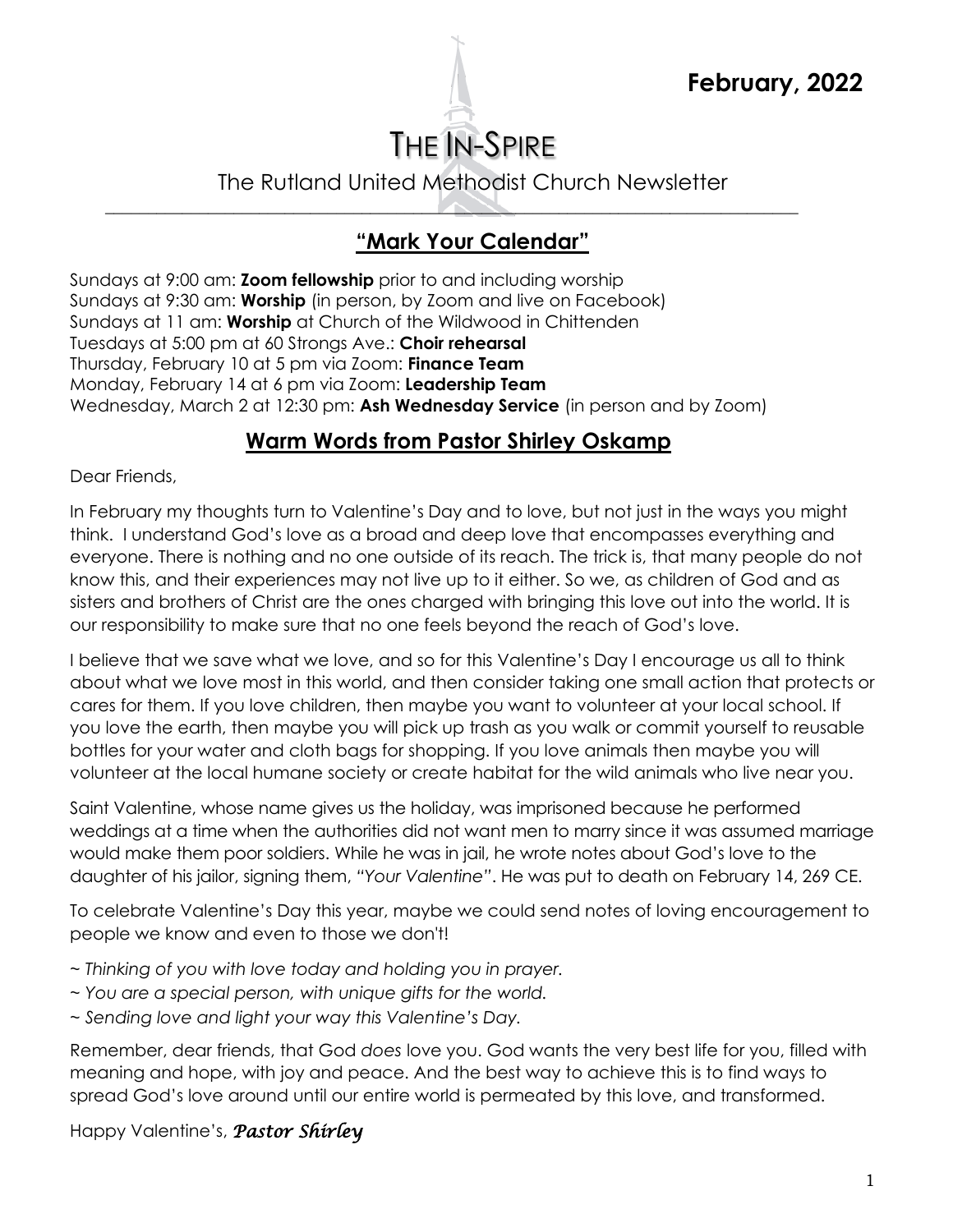

# THE IN-SPIRE

The Rutland United Methodist Church Newsletter

\_\_\_\_\_\_\_\_\_\_\_\_\_\_\_\_\_\_\_\_\_\_\_\_\_\_\_\_\_\_\_\_\_\_\_\_\_\_\_\_\_\_\_\_\_\_\_\_\_\_\_\_\_\_\_\_\_\_\_\_\_\_\_\_\_\_\_\_\_\_\_\_\_\_\_\_\_\_\_\_\_

# **"Mark Your Calendar"**

Sundays at 9:00 am: **Zoom fellowship** prior to and including worship Sundays at 9:30 am: **Worship** (in person, by Zoom and live on Facebook) Sundays at 11 am: **Worship** at Church of the Wildwood in Chittenden Tuesdays at 5:00 pm at 60 Strongs Ave.: **Choir rehearsal** Thursday, February 10 at 5 pm via Zoom: **Finance Team**  Monday, February 14 at 6 pm via Zoom: **Leadership Team** Wednesday, March 2 at 12:30 pm: **Ash Wednesday Service** (in person and by Zoom)

### **Warm Words from Pastor Shirley Oskamp**

Dear Friends,

In February my thoughts turn to Valentine's Day and to love, but not just in the ways you might think. I understand God's love as a broad and deep love that encompasses everything and everyone. There is nothing and no one outside of its reach. The trick is, that many people do not know this, and their experiences may not live up to it either. So we, as children of God and as sisters and brothers of Christ are the ones charged with bringing this love out into the world. It is our responsibility to make sure that no one feels beyond the reach of God's love.

I believe that we save what we love, and so for this Valentine's Day I encourage us all to think about what we love most in this world, and then consider taking one small action that protects or cares for them. If you love children, then maybe you want to volunteer at your local school. If you love the earth, then maybe you will pick up trash as you walk or commit yourself to reusable bottles for your water and cloth bags for shopping. If you love animals then maybe you will volunteer at the local humane society or create habitat for the wild animals who live near you.

Saint Valentine, whose name gives us the holiday, was imprisoned because he performed weddings at a time when the authorities did not want men to marry since it was assumed marriage would make them poor soldiers. While he was in jail, he wrote notes about God's love to the daughter of his jailor, signing them, *"Your Valentine"*. He was put to death on February 14, 269 CE.

To celebrate Valentine's Day this year, maybe we could send notes of loving encouragement to people we know and even to those we don't!

- ~ *Thinking of you with love today and holding you in prayer.*
- *~ You are a special person, with unique gifts for the world.*
- *~ Sending love and light your way this Valentine's Day.*

Remember, dear friends, that God *does* love you. God wants the very best life for you, filled with meaning and hope, with joy and peace. And the best way to achieve this is to find ways to spread God's love around until our entire world is permeated by this love, and transformed.

#### Happy Valentine's, *Pastor Shirley*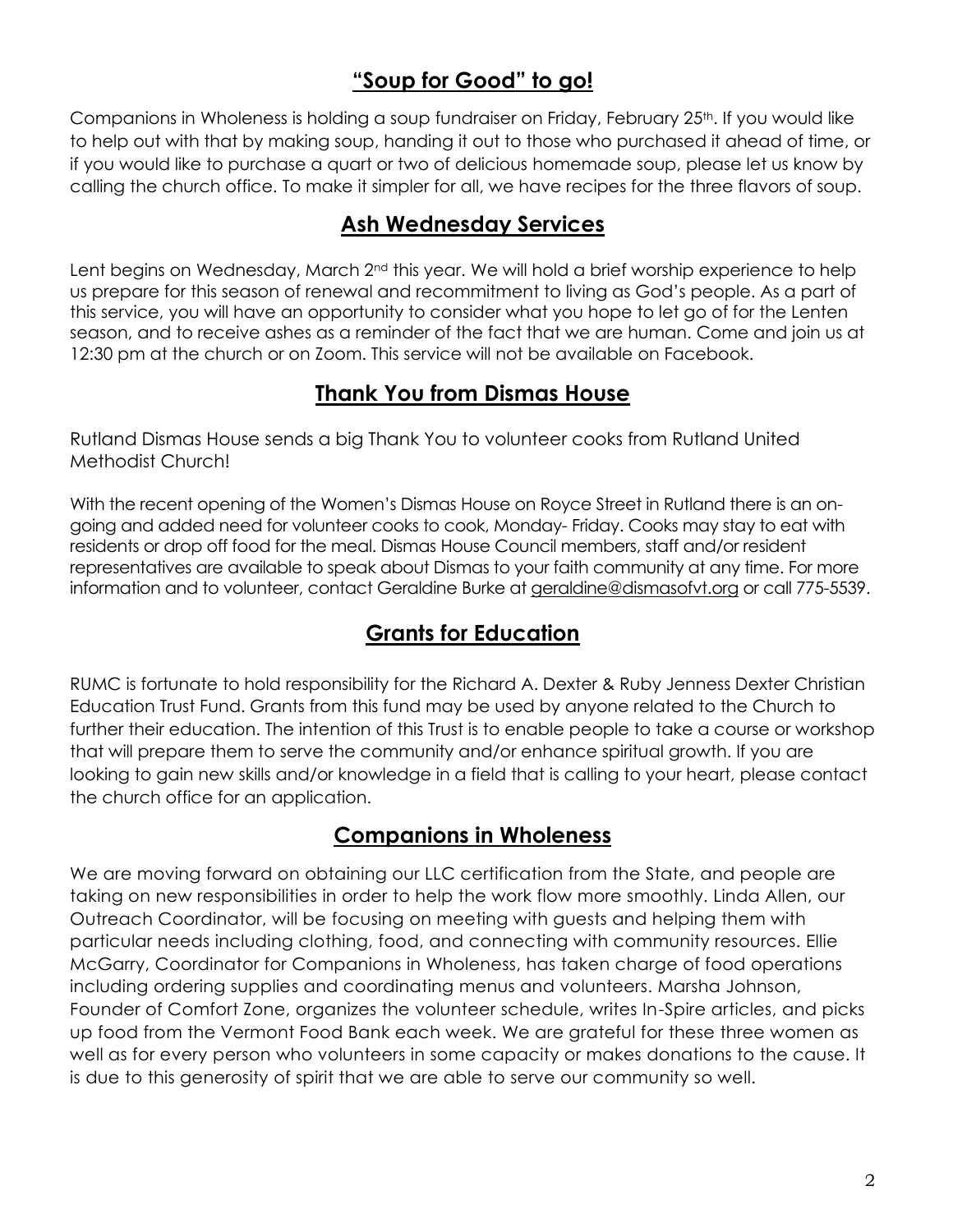# **"Soup for Good" to go!**

Companions in Wholeness is holding a soup fundraiser on Friday, February 25<sup>th</sup>. If you would like to help out with that by making soup, handing it out to those who purchased it ahead of time, or if you would like to purchase a quart or two of delicious homemade soup, please let us know by calling the church office. To make it simpler for all, we have recipes for the three flavors of soup.

#### **Ash Wednesday Services**

Lent begins on Wednesday, March 2<sup>nd</sup> this year. We will hold a brief worship experience to help us prepare for this season of renewal and recommitment to living as God's people. As a part of this service, you will have an opportunity to consider what you hope to let go of for the Lenten season, and to receive ashes as a reminder of the fact that we are human. Come and join us at 12:30 pm at the church or on Zoom. This service will not be available on Facebook.

#### **Thank You from Dismas House**

Rutland Dismas House sends a big Thank You to volunteer cooks from Rutland United Methodist Church!

With the recent opening of the Women's Dismas House on Royce Street in Rutland there is an ongoing and added need for volunteer cooks to cook, Monday- Friday. Cooks may stay to eat with residents or drop off food for the meal. Dismas House Council members, staff and/or resident representatives are available to speak about Dismas to your faith community at any time. For more information and to volunteer, contact Geraldine Burke at [geraldine@dismasofvt.org](mailto:geraldine@dismasofvt.org) or call 775-5539.

# **Grants for Education**

RUMC is fortunate to hold responsibility for the Richard A. Dexter & Ruby Jenness Dexter Christian Education Trust Fund. Grants from this fund may be used by anyone related to the Church to further their education. The intention of this Trust is to enable people to take a course or workshop that will prepare them to serve the community and/or enhance spiritual growth. If you are looking to gain new skills and/or knowledge in a field that is calling to your heart, please contact the church office for an application.

# **Companions in Wholeness**

We are moving forward on obtaining our LLC certification from the State, and people are taking on new responsibilities in order to help the work flow more smoothly. Linda Allen, our Outreach Coordinator, will be focusing on meeting with guests and helping them with particular needs including clothing, food, and connecting with community resources. Ellie McGarry, Coordinator for Companions in Wholeness, has taken charge of food operations including ordering supplies and coordinating menus and volunteers. Marsha Johnson, Founder of Comfort Zone, organizes the volunteer schedule, writes In-Spire articles, and picks up food from the Vermont Food Bank each week. We are grateful for these three women as well as for every person who volunteers in some capacity or makes donations to the cause. It is due to this generosity of spirit that we are able to serve our community so well.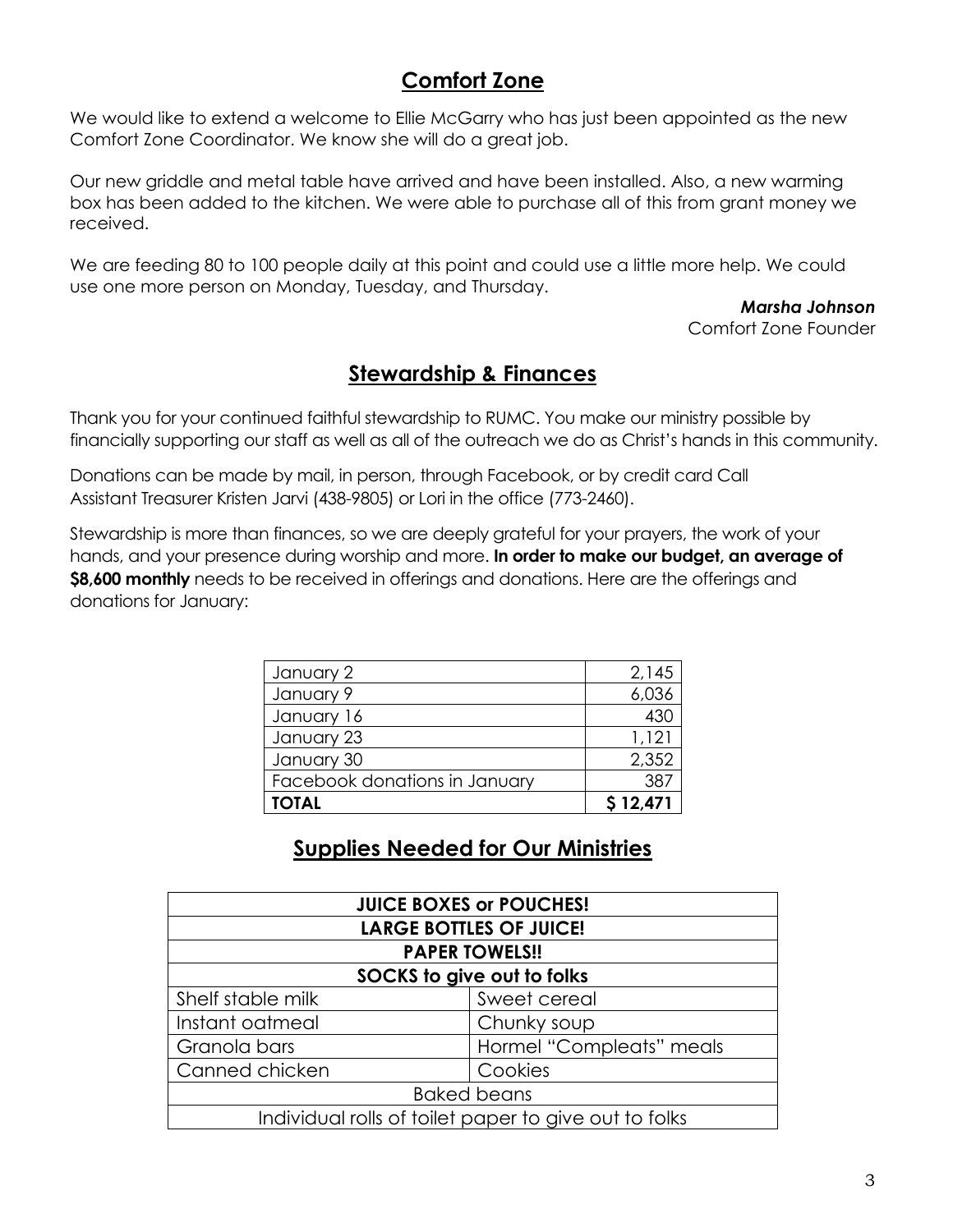### **Comfort Zone**

We would like to extend a welcome to Ellie McGarry who has just been appointed as the new Comfort Zone Coordinator. We know she will do a great job.

Our new griddle and metal table have arrived and have been installed. Also, a new warming box has been added to the kitchen. We were able to purchase all of this from grant money we received.

We are feeding 80 to 100 people daily at this point and could use a little more help. We could use one more person on Monday, Tuesday, and Thursday.

#### *Marsha Johnson*

Comfort Zone Founder

#### **Stewardship & Finances**

Thank you for your continued faithful stewardship to RUMC. You make our ministry possible by financially supporting our staff as well as all of the outreach we do as Christ's hands in this community.

Donations can be made by mail, in person, through Facebook, or by credit card Call Assistant Treasurer Kristen Jarvi (438-9805) or Lori in the office (773-2460).

Stewardship is more than finances, so we are deeply grateful for your prayers, the work of your hands, and your presence during worship and more. **In order to make our budget, an average of \$8,600 monthly** needs to be received in offerings and donations. Here are the offerings and donations for January:

| January 2                     | 2,145    |
|-------------------------------|----------|
| January 9                     | 6,036    |
| January 16                    | 430      |
| January 23                    | 1,121    |
| January 30                    | 2,352    |
| Facebook donations in January | 38.      |
| <b>TOTAL</b>                  | \$12,471 |

#### **Supplies Needed for Our Ministries**

| <b>JUICE BOXES or POUCHES!</b>                        |                          |  |  |
|-------------------------------------------------------|--------------------------|--|--|
| <b>LARGE BOTTLES OF JUICE!</b>                        |                          |  |  |
| <b>PAPER TOWELS!!</b>                                 |                          |  |  |
| SOCKS to give out to folks                            |                          |  |  |
| Shelf stable milk                                     | Sweet cereal             |  |  |
| Instant oatmeal                                       | Chunky soup              |  |  |
| Granola bars                                          | Hormel "Compleats" meals |  |  |
| Canned chicken                                        | Cookies                  |  |  |
| <b>Baked beans</b>                                    |                          |  |  |
| Individual rolls of toilet paper to give out to folks |                          |  |  |